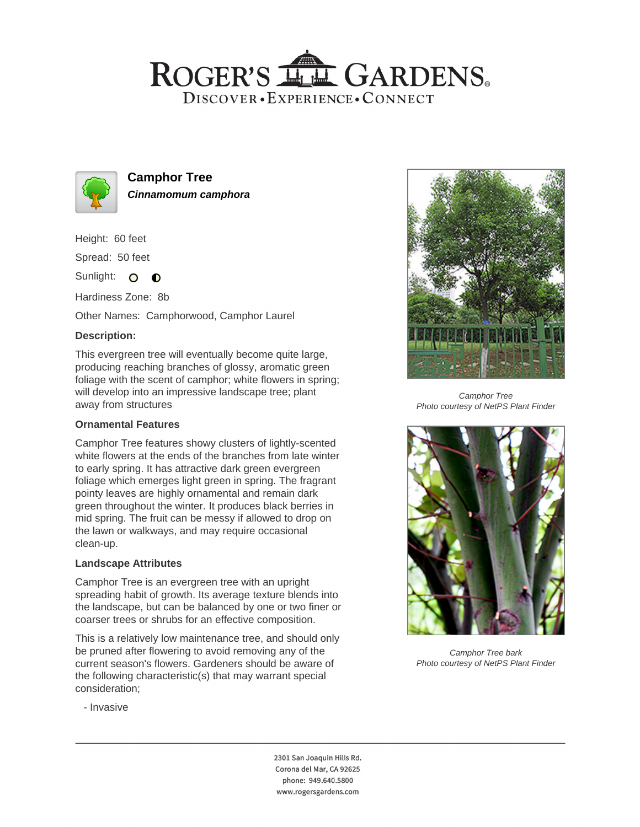# ROGER'S LL GARDENS. DISCOVER · EXPERIENCE · CONNECT



**Camphor Tree Cinnamomum camphora**

Height: 60 feet

Spread: 50 feet

Sunlight: O **O** 

Hardiness Zone: 8b

Other Names: Camphorwood, Camphor Laurel

### **Description:**

This evergreen tree will eventually become quite large, producing reaching branches of glossy, aromatic green foliage with the scent of camphor; white flowers in spring; will develop into an impressive landscape tree; plant away from structures

#### **Ornamental Features**

Camphor Tree features showy clusters of lightly-scented white flowers at the ends of the branches from late winter to early spring. It has attractive dark green evergreen foliage which emerges light green in spring. The fragrant pointy leaves are highly ornamental and remain dark green throughout the winter. It produces black berries in mid spring. The fruit can be messy if allowed to drop on the lawn or walkways, and may require occasional clean-up.

#### **Landscape Attributes**

Camphor Tree is an evergreen tree with an upright spreading habit of growth. Its average texture blends into the landscape, but can be balanced by one or two finer or coarser trees or shrubs for an effective composition.

This is a relatively low maintenance tree, and should only be pruned after flowering to avoid removing any of the current season's flowers. Gardeners should be aware of the following characteristic(s) that may warrant special consideration;



Camphor Tree Photo courtesy of NetPS Plant Finder



Camphor Tree bark Photo courtesy of NetPS Plant Finder

- Invasive

2301 San Joaquin Hills Rd. Corona del Mar, CA 92625 phone: 949.640.5800 www.rogersgardens.com